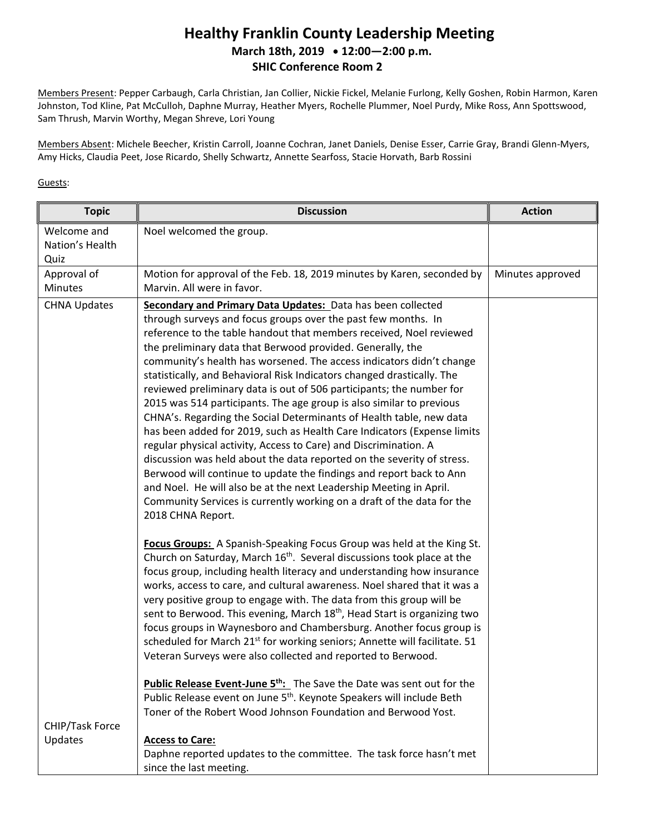## **Healthy Franklin County Leadership Meeting March 18th, 2019 12:00—2:00 p.m. SHIC Conference Room 2**

Members Present: Pepper Carbaugh, Carla Christian, Jan Collier, Nickie Fickel, Melanie Furlong, Kelly Goshen, Robin Harmon, Karen Johnston, Tod Kline, Pat McCulloh, Daphne Murray, Heather Myers, Rochelle Plummer, Noel Purdy, Mike Ross, Ann Spottswood, Sam Thrush, Marvin Worthy, Megan Shreve, Lori Young

Members Absent: Michele Beecher, Kristin Carroll, Joanne Cochran, Janet Daniels, Denise Esser, Carrie Gray, Brandi Glenn-Myers, Amy Hicks, Claudia Peet, Jose Ricardo, Shelly Schwartz, Annette Searfoss, Stacie Horvath, Barb Rossini

## Guests:

| <b>Topic</b>                           | <b>Discussion</b>                                                                                                                                                                                                                                                                                                                                                                                                                                                                                                                                                                                                                                                                                                                                                                                                                                                                                                                                                                                                                                                                                                                                                                                                                                                                                                                                                                                                                                                                                                                                                                                                                                                                                                                                                                                                                                                                                                                                                                                         | <b>Action</b>    |
|----------------------------------------|-----------------------------------------------------------------------------------------------------------------------------------------------------------------------------------------------------------------------------------------------------------------------------------------------------------------------------------------------------------------------------------------------------------------------------------------------------------------------------------------------------------------------------------------------------------------------------------------------------------------------------------------------------------------------------------------------------------------------------------------------------------------------------------------------------------------------------------------------------------------------------------------------------------------------------------------------------------------------------------------------------------------------------------------------------------------------------------------------------------------------------------------------------------------------------------------------------------------------------------------------------------------------------------------------------------------------------------------------------------------------------------------------------------------------------------------------------------------------------------------------------------------------------------------------------------------------------------------------------------------------------------------------------------------------------------------------------------------------------------------------------------------------------------------------------------------------------------------------------------------------------------------------------------------------------------------------------------------------------------------------------------|------------------|
| Welcome and<br>Nation's Health<br>Quiz | Noel welcomed the group.                                                                                                                                                                                                                                                                                                                                                                                                                                                                                                                                                                                                                                                                                                                                                                                                                                                                                                                                                                                                                                                                                                                                                                                                                                                                                                                                                                                                                                                                                                                                                                                                                                                                                                                                                                                                                                                                                                                                                                                  |                  |
| Approval of<br><b>Minutes</b>          | Motion for approval of the Feb. 18, 2019 minutes by Karen, seconded by<br>Marvin. All were in favor.                                                                                                                                                                                                                                                                                                                                                                                                                                                                                                                                                                                                                                                                                                                                                                                                                                                                                                                                                                                                                                                                                                                                                                                                                                                                                                                                                                                                                                                                                                                                                                                                                                                                                                                                                                                                                                                                                                      | Minutes approved |
| <b>CHNA Updates</b>                    | Secondary and Primary Data Updates: Data has been collected<br>through surveys and focus groups over the past few months. In<br>reference to the table handout that members received, Noel reviewed<br>the preliminary data that Berwood provided. Generally, the<br>community's health has worsened. The access indicators didn't change<br>statistically, and Behavioral Risk Indicators changed drastically. The<br>reviewed preliminary data is out of 506 participants; the number for<br>2015 was 514 participants. The age group is also similar to previous<br>CHNA's. Regarding the Social Determinants of Health table, new data<br>has been added for 2019, such as Health Care Indicators (Expense limits<br>regular physical activity, Access to Care) and Discrimination. A<br>discussion was held about the data reported on the severity of stress.<br>Berwood will continue to update the findings and report back to Ann<br>and Noel. He will also be at the next Leadership Meeting in April.<br>Community Services is currently working on a draft of the data for the<br>2018 CHNA Report.<br>Focus Groups: A Spanish-Speaking Focus Group was held at the King St.<br>Church on Saturday, March 16 <sup>th</sup> . Several discussions took place at the<br>focus group, including health literacy and understanding how insurance<br>works, access to care, and cultural awareness. Noel shared that it was a<br>very positive group to engage with. The data from this group will be<br>sent to Berwood. This evening, March 18 <sup>th</sup> , Head Start is organizing two<br>focus groups in Waynesboro and Chambersburg. Another focus group is<br>scheduled for March 21 <sup>st</sup> for working seniors; Annette will facilitate. 51<br>Veteran Surveys were also collected and reported to Berwood.<br><b>Public Release Event-June 5th:</b> The Save the Date was sent out for the<br>Public Release event on June 5 <sup>th</sup> . Keynote Speakers will include Beth |                  |
|                                        | Toner of the Robert Wood Johnson Foundation and Berwood Yost.                                                                                                                                                                                                                                                                                                                                                                                                                                                                                                                                                                                                                                                                                                                                                                                                                                                                                                                                                                                                                                                                                                                                                                                                                                                                                                                                                                                                                                                                                                                                                                                                                                                                                                                                                                                                                                                                                                                                             |                  |
| CHIP/Task Force                        |                                                                                                                                                                                                                                                                                                                                                                                                                                                                                                                                                                                                                                                                                                                                                                                                                                                                                                                                                                                                                                                                                                                                                                                                                                                                                                                                                                                                                                                                                                                                                                                                                                                                                                                                                                                                                                                                                                                                                                                                           |                  |
| Updates                                | <b>Access to Care:</b><br>Daphne reported updates to the committee. The task force hasn't met<br>since the last meeting.                                                                                                                                                                                                                                                                                                                                                                                                                                                                                                                                                                                                                                                                                                                                                                                                                                                                                                                                                                                                                                                                                                                                                                                                                                                                                                                                                                                                                                                                                                                                                                                                                                                                                                                                                                                                                                                                                  |                  |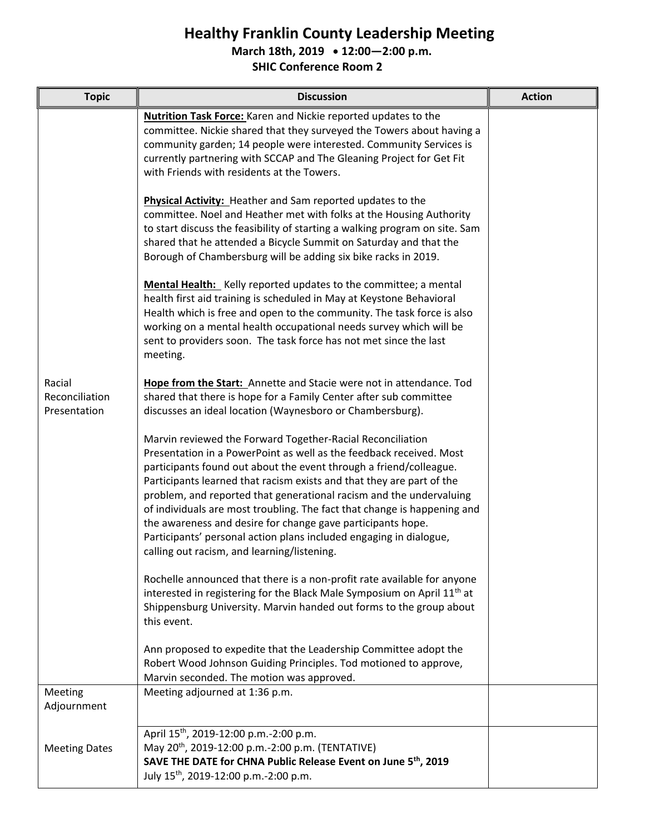## **Healthy Franklin County Leadership Meeting**

**March 18th, 2019 12:00—2:00 p.m.**

**SHIC Conference Room 2**

| <b>Topic</b>                             | <b>Discussion</b>                                                                                                                                                                                                                                                                                                                                                                                                                                                                                                                                                                                                       | <b>Action</b> |
|------------------------------------------|-------------------------------------------------------------------------------------------------------------------------------------------------------------------------------------------------------------------------------------------------------------------------------------------------------------------------------------------------------------------------------------------------------------------------------------------------------------------------------------------------------------------------------------------------------------------------------------------------------------------------|---------------|
| Racial<br>Reconciliation<br>Presentation | <b>Nutrition Task Force:</b> Karen and Nickie reported updates to the<br>committee. Nickie shared that they surveyed the Towers about having a<br>community garden; 14 people were interested. Community Services is<br>currently partnering with SCCAP and The Gleaning Project for Get Fit<br>with Friends with residents at the Towers.                                                                                                                                                                                                                                                                              |               |
|                                          | <b>Physical Activity:</b> Heather and Sam reported updates to the<br>committee. Noel and Heather met with folks at the Housing Authority<br>to start discuss the feasibility of starting a walking program on site. Sam<br>shared that he attended a Bicycle Summit on Saturday and that the<br>Borough of Chambersburg will be adding six bike racks in 2019.<br>Mental Health: Kelly reported updates to the committee; a mental                                                                                                                                                                                      |               |
|                                          | health first aid training is scheduled in May at Keystone Behavioral<br>Health which is free and open to the community. The task force is also<br>working on a mental health occupational needs survey which will be<br>sent to providers soon. The task force has not met since the last<br>meeting.                                                                                                                                                                                                                                                                                                                   |               |
|                                          | Hope from the Start: Annette and Stacie were not in attendance. Tod<br>shared that there is hope for a Family Center after sub committee<br>discusses an ideal location (Waynesboro or Chambersburg).                                                                                                                                                                                                                                                                                                                                                                                                                   |               |
|                                          | Marvin reviewed the Forward Together-Racial Reconciliation<br>Presentation in a PowerPoint as well as the feedback received. Most<br>participants found out about the event through a friend/colleague.<br>Participants learned that racism exists and that they are part of the<br>problem, and reported that generational racism and the undervaluing<br>of individuals are most troubling. The fact that change is happening and<br>the awareness and desire for change gave participants hope.<br>Participants' personal action plans included engaging in dialogue,<br>calling out racism, and learning/listening. |               |
|                                          | Rochelle announced that there is a non-profit rate available for anyone<br>interested in registering for the Black Male Symposium on April 11 <sup>th</sup> at<br>Shippensburg University. Marvin handed out forms to the group about<br>this event.                                                                                                                                                                                                                                                                                                                                                                    |               |
|                                          | Ann proposed to expedite that the Leadership Committee adopt the<br>Robert Wood Johnson Guiding Principles. Tod motioned to approve,<br>Marvin seconded. The motion was approved.                                                                                                                                                                                                                                                                                                                                                                                                                                       |               |
| Meeting<br>Adjournment                   | Meeting adjourned at 1:36 p.m.                                                                                                                                                                                                                                                                                                                                                                                                                                                                                                                                                                                          |               |
| <b>Meeting Dates</b>                     | April 15 <sup>th</sup> , 2019-12:00 p.m.-2:00 p.m.<br>May 20 <sup>th</sup> , 2019-12:00 p.m.-2:00 p.m. (TENTATIVE)<br>SAVE THE DATE for CHNA Public Release Event on June 5th, 2019<br>July 15 <sup>th</sup> , 2019-12:00 p.m.-2:00 p.m.                                                                                                                                                                                                                                                                                                                                                                                |               |